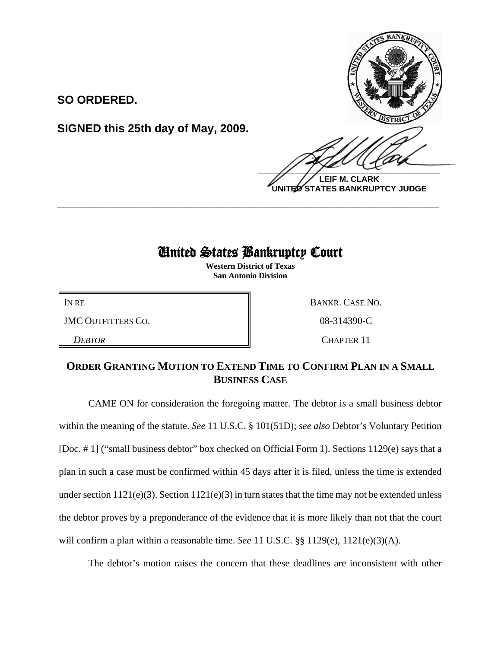

**LEIF M. CLARK UNITED STATES BANKRUPTCY JUDGE**

## United States Bankruptcy Court

**\_\_\_\_\_\_\_\_\_\_\_\_\_\_\_\_\_\_\_\_\_\_\_\_\_\_\_\_\_\_\_\_\_\_\_\_\_\_\_\_\_\_\_\_\_\_\_\_\_\_\_\_\_\_\_\_\_\_\_\_**

**Western District of Texas San Antonio Division**

JMC OUTFITTERS CO.  $\qquad \qquad \blacksquare$  08-314390-C

**SO ORDERED.**

**SIGNED this 25th day of May, 2009.**

IN RE BANKR. CASE NO.

**DEBTOR** CHAPTER 11

## **ORDER GRANTING MOTION TO EXTEND TIME TO CONFIRM PLAN IN A SMALL BUSINESS CASE**

CAME ON for consideration the foregoing matter. The debtor is a small business debtor within the meaning of the statute. *See* 11 U.S.C. § 101(51D); *see also* Debtor's Voluntary Petition [Doc. # 1] ("small business debtor" box checked on Official Form 1). Sections 1129(e) says that a plan in such a case must be confirmed within 45 days after it is filed, unless the time is extended under section  $1121(e)(3)$ . Section  $1121(e)(3)$  in turn states that the time may not be extended unless the debtor proves by a preponderance of the evidence that it is more likely than not that the court will confirm a plan within a reasonable time. *See* 11 U.S.C. §§ 1129(e), 1121(e)(3)(A).

The debtor's motion raises the concern that these deadlines are inconsistent with other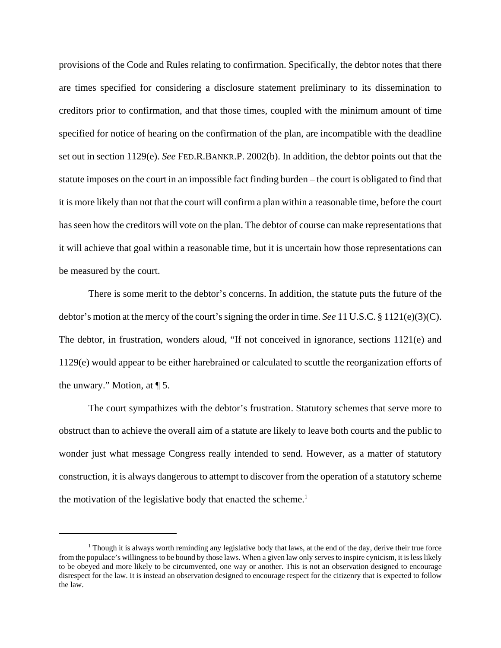provisions of the Code and Rules relating to confirmation. Specifically, the debtor notes that there are times specified for considering a disclosure statement preliminary to its dissemination to creditors prior to confirmation, and that those times, coupled with the minimum amount of time specified for notice of hearing on the confirmation of the plan, are incompatible with the deadline set out in section 1129(e). *See* FED.R.BANKR.P. 2002(b). In addition, the debtor points out that the statute imposes on the court in an impossible fact finding burden – the court is obligated to find that it is more likely than not that the court will confirm a plan within a reasonable time, before the court has seen how the creditors will vote on the plan. The debtor of course can make representations that it will achieve that goal within a reasonable time, but it is uncertain how those representations can be measured by the court.

There is some merit to the debtor's concerns. In addition, the statute puts the future of the debtor's motion at the mercy of the court's signing the order in time. *See* 11 U.S.C. § 1121(e)(3)(C). The debtor, in frustration, wonders aloud, "If not conceived in ignorance, sections 1121(e) and 1129(e) would appear to be either harebrained or calculated to scuttle the reorganization efforts of the unwary." Motion, at ¶ 5.

The court sympathizes with the debtor's frustration. Statutory schemes that serve more to obstruct than to achieve the overall aim of a statute are likely to leave both courts and the public to wonder just what message Congress really intended to send. However, as a matter of statutory construction, it is always dangerous to attempt to discover from the operation of a statutory scheme the motivation of the legislative body that enacted the scheme.<sup>1</sup>

<sup>&</sup>lt;sup>1</sup> Though it is always worth reminding any legislative body that laws, at the end of the day, derive their true force from the populace's willingness to be bound by those laws. When a given law only serves to inspire cynicism, it is less likely to be obeyed and more likely to be circumvented, one way or another. This is not an observation designed to encourage disrespect for the law. It is instead an observation designed to encourage respect for the citizenry that is expected to follow the law.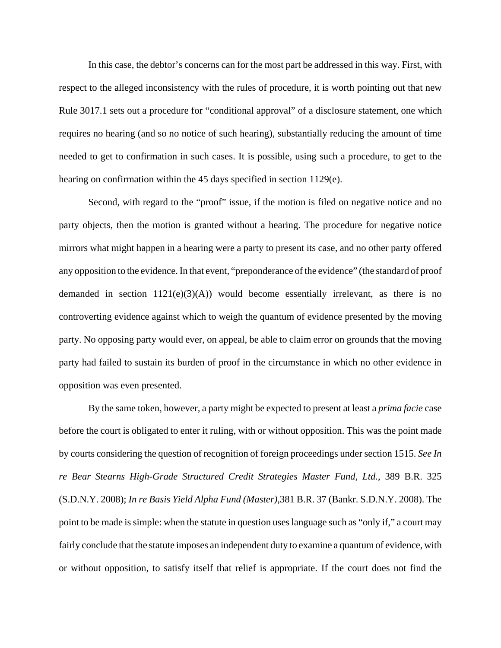In this case, the debtor's concerns can for the most part be addressed in this way. First, with respect to the alleged inconsistency with the rules of procedure, it is worth pointing out that new Rule 3017.1 sets out a procedure for "conditional approval" of a disclosure statement, one which requires no hearing (and so no notice of such hearing), substantially reducing the amount of time needed to get to confirmation in such cases. It is possible, using such a procedure, to get to the hearing on confirmation within the 45 days specified in section 1129(e).

Second, with regard to the "proof" issue, if the motion is filed on negative notice and no party objects, then the motion is granted without a hearing. The procedure for negative notice mirrors what might happen in a hearing were a party to present its case, and no other party offered any opposition to the evidence. In that event, "preponderance of the evidence" (the standard of proof demanded in section  $1121(e)(3)(A)$  would become essentially irrelevant, as there is no controverting evidence against which to weigh the quantum of evidence presented by the moving party. No opposing party would ever, on appeal, be able to claim error on grounds that the moving party had failed to sustain its burden of proof in the circumstance in which no other evidence in opposition was even presented.

By the same token, however, a party might be expected to present at least a *prima facie* case before the court is obligated to enter it ruling, with or without opposition. This was the point made by courts considering the question of recognition of foreign proceedings under section 1515. *See In re Bear Stearns High-Grade Structured Credit Strategies Master Fund, Ltd.*, 389 B.R. 325 (S.D.N.Y. 2008); *In re Basis Yield Alpha Fund (Master)*,381 B.R. 37 (Bankr. S.D.N.Y. 2008). The point to be made is simple: when the statute in question uses language such as "only if," a court may fairly conclude that the statute imposes an independent duty to examine a quantum of evidence, with or without opposition, to satisfy itself that relief is appropriate. If the court does not find the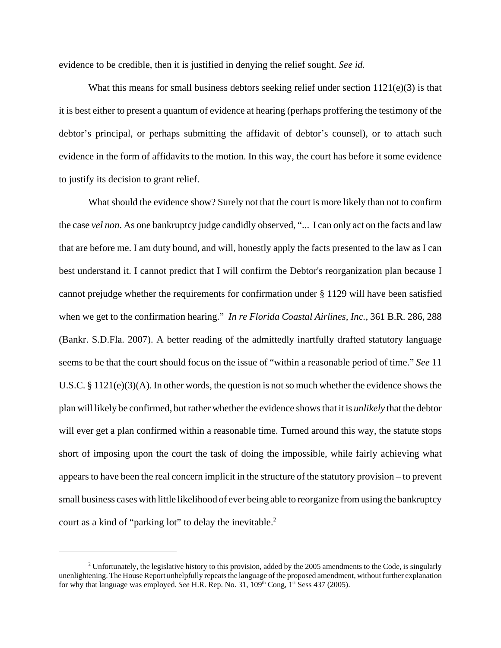evidence to be credible, then it is justified in denying the relief sought. *See id.*

What this means for small business debtors seeking relief under section  $1121(e)(3)$  is that it is best either to present a quantum of evidence at hearing (perhaps proffering the testimony of the debtor's principal, or perhaps submitting the affidavit of debtor's counsel), or to attach such evidence in the form of affidavits to the motion. In this way, the court has before it some evidence to justify its decision to grant relief.

What should the evidence show? Surely not that the court is more likely than not to confirm the case *vel non*. As one bankruptcy judge candidly observed, "... I can only act on the facts and law that are before me. I am duty bound, and will, honestly apply the facts presented to the law as I can best understand it. I cannot predict that I will confirm the Debtor's reorganization plan because I cannot prejudge whether the requirements for confirmation under § 1129 will have been satisfied when we get to the confirmation hearing." *In re Florida Coastal Airlines, Inc.*, 361 B.R. 286, 288 (Bankr. S.D.Fla. 2007). A better reading of the admittedly inartfully drafted statutory language seems to be that the court should focus on the issue of "within a reasonable period of time." *See* 11 U.S.C. § 1121(e)(3)(A). In other words, the question is not so much whether the evidence shows the plan will likely be confirmed, but rather whether the evidence shows that it is *unlikely* that the debtor will ever get a plan confirmed within a reasonable time. Turned around this way, the statute stops short of imposing upon the court the task of doing the impossible, while fairly achieving what appears to have been the real concern implicit in the structure of the statutory provision – to prevent small business cases with little likelihood of ever being able to reorganize from using the bankruptcy court as a kind of "parking lot" to delay the inevitable. $2$ 

<sup>&</sup>lt;sup>2</sup> Unfortunately, the legislative history to this provision, added by the 2005 amendments to the Code, is singularly unenlightening. The House Report unhelpfully repeats the language of the proposed amendment, without further explanation for why that language was employed. *See* H.R. Rep. No. 31, 109<sup>th</sup> Cong, 1<sup>st</sup> Sess 437 (2005).